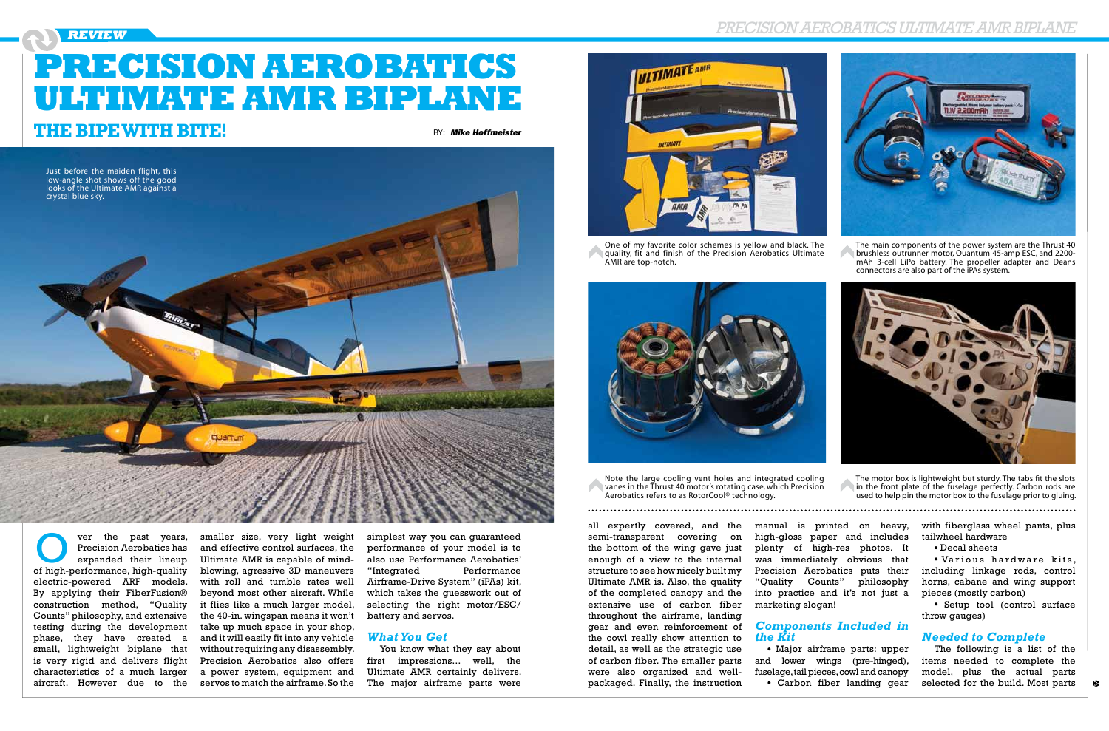## Precision Aerobatics Ultimate AMRBiplane

ver the past years, Precision Aerobatics has expanded their lineup ver the past years,<br>
Precision Aerobatics has<br>
expanded their lineup<br>
of high-performance, high-quality electric-powered ARF models. By applying their FiberFusion® construction method, "Quality Counts" philosophy, and extensive testing during the development phase, they have created a small, lightweight biplane that is very rigid and delivers flight characteristics of a much larger aircraft. However due to the

### **Review**

smaller size, very light weight and effective control surfaces, the Ultimate AMR is capable of mindblowing, agressive 3D maneuvers with roll and tumble rates well beyond most other aircraft. While it flies like a much larger model, the 40-in. wingspan means it won't take up much space in your shop, and it will easily fit into any vehicle without requiring any disassembly. Precision Aerobatics also offers a power system, equipment and servos to match the airframe. So the

• Various hardware kits, including linkage rods, control horns, cabane and wing support pieces (mostly carbon)

simplest way you can guaranteed performance of your model is to also use Performance Aerobatics' "Integrated Performance Airframe-Drive System" (iPAs) kit, which takes the guesswork out of selecting the right motor/ESC/ battery and servos.

### *What You Get*

You know what they say about first impressions... well, the Ultimate AMR certainly delivers. The major airframe parts were



with fiberglass wheel pants, plus tailwheel hardware

Decal sheets

Setup tool (control surface throw gauges)

### *Needed to Complete*

The following is a list of the items needed to complete the model, plus the actual parts selected for the build. Most parts



One of my favorite color schemes is yellow and black. The quality, fit and finish of the Precision Aerobatics Ultimate AMR are top-notch.



Note the large cooling vent holes and integrated cooling vanes in the Thrust 40 motor's rotating case, which Precision Aerobatics refers to as RotorCool® technology.

The main components of the power system are the Thrust 40 brushless outrunner motor, Quantum 45-amp ESC, and 2200mAh 3-cell LiPo battery. The propeller adapter and Deans connectors are also part of the iPAs system.



The motor box is lightweight but sturdy. The tabs fit the slots in the front plate of the fuselage perfectly. Carbon rods are used to help pin the motor box to the fuselage prior to gluing.

manual is printed on heavy, high-gloss paper and includes plenty of high-res photos. It was immediately obvious that Precision Aerobatics puts their "Quality Counts" philosophy into practice and it's not just a marketing slogan!

### *Components Included in the Kit*

Major airframe parts: upper and lower wings (pre-hinged), fuselage, tail pieces, cowl and canopy Carbon fiber landing gear



all expertly covered, and the semi-transparent covering on the bottom of the wing gave just enough of a view to the internal structure to see how nicely built my Ultimate AMR is. Also, the quality of the completed canopy and the extensive use of carbon fiber throughout the airframe, landing gear and even reinforcement of the cowl really show attention to detail, as well as the strategic use of carbon fiber. The smaller parts were also organized and wellpackaged. Finally, the instruction

# **Precision Aerobatics Ultimate AMR Biplane**

## **THE BIPE WITH BITE!** BY: Mike Hoffmeister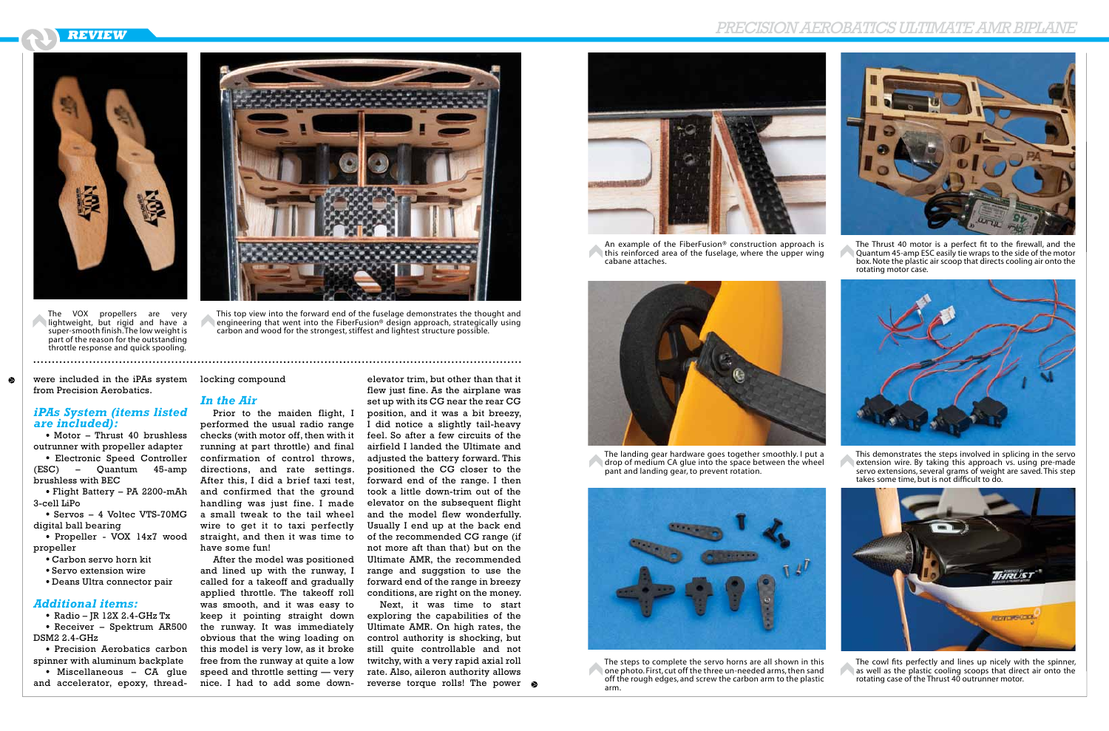## **Review** Precision Aerobatics Ultimate AMRBiplane





This top view into the forward end of the fuselage demonstrates the thought and engineering that went into the FiberFusion® design approach, strategically using carbon and wood for the strongest, stiffest and lightest structure possible.

• Motor – Thrust 40 brushless outrunner with propeller adapter



The VOX propellers are very lightweight, but rigid and have a super-smooth finish. The low weight is part of the reason for the outstanding throttle response and quick spooling.

 $\bullet$  Radio – JR 12X 2.4-GHz Tx Receiver – Spektrum AR500

DSM2 2.4-GHz • Precision Aerobatics carbon

were included in the iPAs system locking compound from Precision Aerobatics.

 $\bullet$ 

### *iPAs System (items listed are included):*

• Miscellaneous – CA glue and accelerator, epoxy, thread-

Electronic Speed Controller (ESC) – Quantum 45-amp brushless with BEC

Flight Battery – PA 2200-mAh 3-cell LiPo

Servos – 4 Voltec VTS-70MG digital ball bearing

Propeller - VOX 14x7 wood propeller

Carbon servo horn kit

- Servo extension wire
- Deans Ultra connector pair

### *Additional items:*

spinner with aluminum backplate

### *In the Air*

Prior to the maiden flight, I performed the usual radio range checks (with motor off, then with it running at part throttle) and final confirmation of control throws, directions, and rate settings. After this, I did a brief taxi test, and confirmed that the ground handling was just fine. I made a small tweak to the tail wheel wire to get it to taxi perfectly straight, and then it was time to have some fun!

After the model was positioned and lined up with the runway, I called for a takeoff and gradually applied throttle. The takeoff roll was smooth, and it was easy to keep it pointing straight down the runway. It was immediately obvious that the wing loading on this model is very low, as it broke free from the runway at quite a low speed and throttle setting — very nice. I had to add some down-

elevator trim, but other than that it flew just fine. As the airplane was set up with its CG near the rear CG position, and it was a bit breezy, I did notice a slightly tail-heavy feel. So after a few circuits of the airfield I landed the Ultimate and adjusted the battery forward. This positioned the CG closer to the forward end of the range. I then took a little down-trim out of the elevator on the subsequent flight and the model flew wonderfully. Usually I end up at the back end of the recommended CG range (if not more aft than that) but on the Ultimate AMR, the recommended range and suggstion to use the forward end of the range in breezy conditions, are right on the money.

Next, it was time to start exploring the capabilities of the Ultimate AMR. On high rates, the control authority is shocking, but still quite controllable and not twitchy, with a very rapid axial roll rate. Also, aileron authority allows reverse torque rolls! The power



An example of the FiberFusion® construction approach is this reinforced area of the fuselage, where the upper wing cabane attaches.



The landing gear hardware goes together smoothly. I put a drop of medium CA glue into the space between the wheel pant and landing gear, to prevent rotation.



The steps to complete the servo horns are all shown in this one photo. First, cut off the three un-needed arms, then sand off the rough edges, and screw the carbon arm to the plastic arm.

The Thrust 40 motor is a perfect fit to the firewall, and the Quantum 45-amp ESC easily tie wraps to the side of the motor box. Note the plastic air scoop that directs cooling air onto the rotating motor case.



This demonstrates the steps involved in splicing in the servo extension wire. By taking this approach vs. using pre-made servo extensions, several grams of weight are saved. This step takes some time, but is not difficult to do.



The cowl fits perfectly and lines up nicely with the spinner, as well as the plastic cooling scoops that direct air onto the rotating case of the Thrust 40 outrunner motor.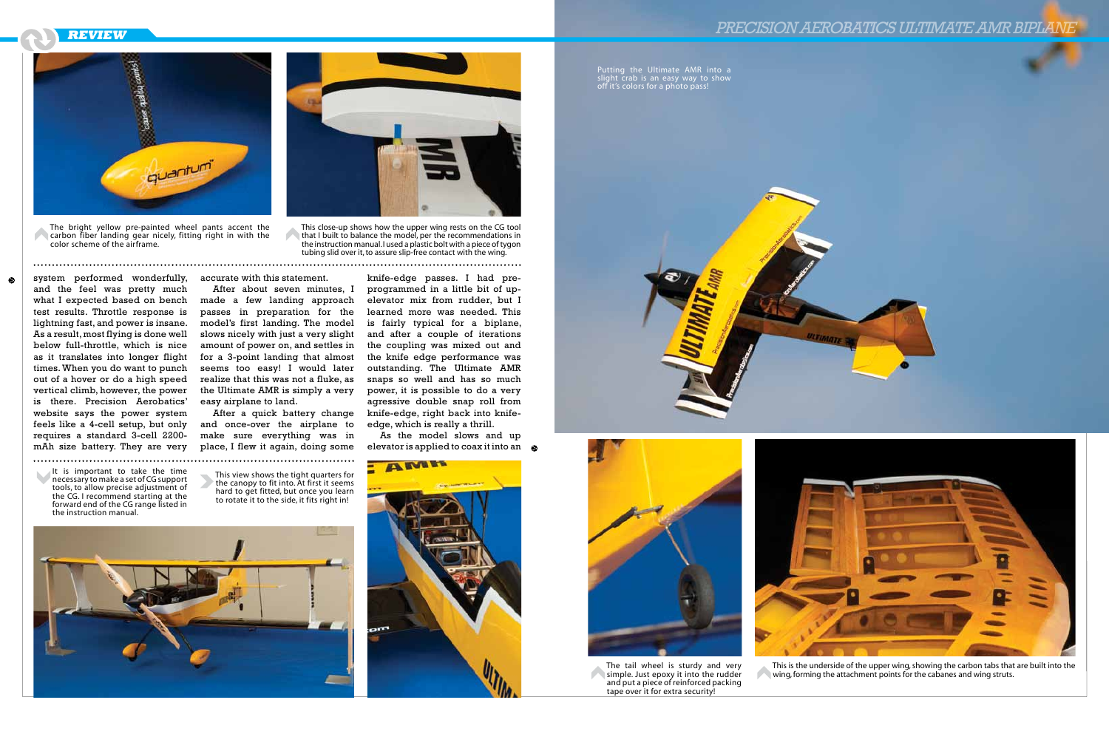



This view shows the tight quarters for the canopy to fit into. At first it seems hard to get fitted, but once you learn to rotate it to the side, it fits right in!





It is important to take the time necessary to make a set of CG support tools, to allow precise adjustment of the CG. I recommend starting at the forward end of the CG range listed in the instruction manual.



simple. Just epoxy it into the rudder and put a piece of reinforced packing tape over it for extra security!

As the model slows and up elevator is applied to coax it into an  $\otimes$ 

knife-edge passes. I had preprogrammed in a little bit of upelevator mix from rudder, but I learned more was needed. This is fairly typical for a biplane, and after a couple of iterations the coupling was mixed out and the knife edge performance was outstanding. The Ultimate AMR snaps so well and has so much power, it is possible to do a very agressive double snap roll from knife-edge, right back into knifeedge, which is really a thrill.

Putting the Ultimate AMR into a slight crab is an easy way to show off it's colors for a photo pass!



accurate with this statement.



This is the underside of the upper wing, showing the carbon tabs that are built into the wing, forming the attachment points for the cabanes and wing struts.

After about seven minutes, I made a few landing approach passes in preparation for the model's first landing. The model slows nicely with just a very slight amount of power on, and settles in for a 3-point landing that almost seems too easy! I would later realize that this was not a fluke, as the Ultimate AMR is simply a very easy airplane to land.

After a quick battery change and once-over the airplane to make sure everything was in place, I flew it again, doing some



The bright yellow pre-painted wheel pants accent the carbon fiber landing gear nicely, fitting right in with the color scheme of the airframe.

This close-up shows how the upper wing rests on the CG tool that I built to balance the model, per the recommendations in the instruction manual. I used a plastic bolt with a piece of tygon tubing slid over it, to assure slip-free contact with the wing.

system performed wonderfully, and the feel was pretty much what I expected based on bench test results. Throttle response is lightning fast, and power is insane. As a result, most flying is done well below full-throttle, which is nice as it translates into longer flight times. When you do want to punch out of a hover or do a high speed vertical climb, however, the power is there. Precision Aerobatics' website says the power system feels like a 4-cell setup, but only requires a standard 3-cell 2200 mAh size battery. They are very

 $\bullet$ 

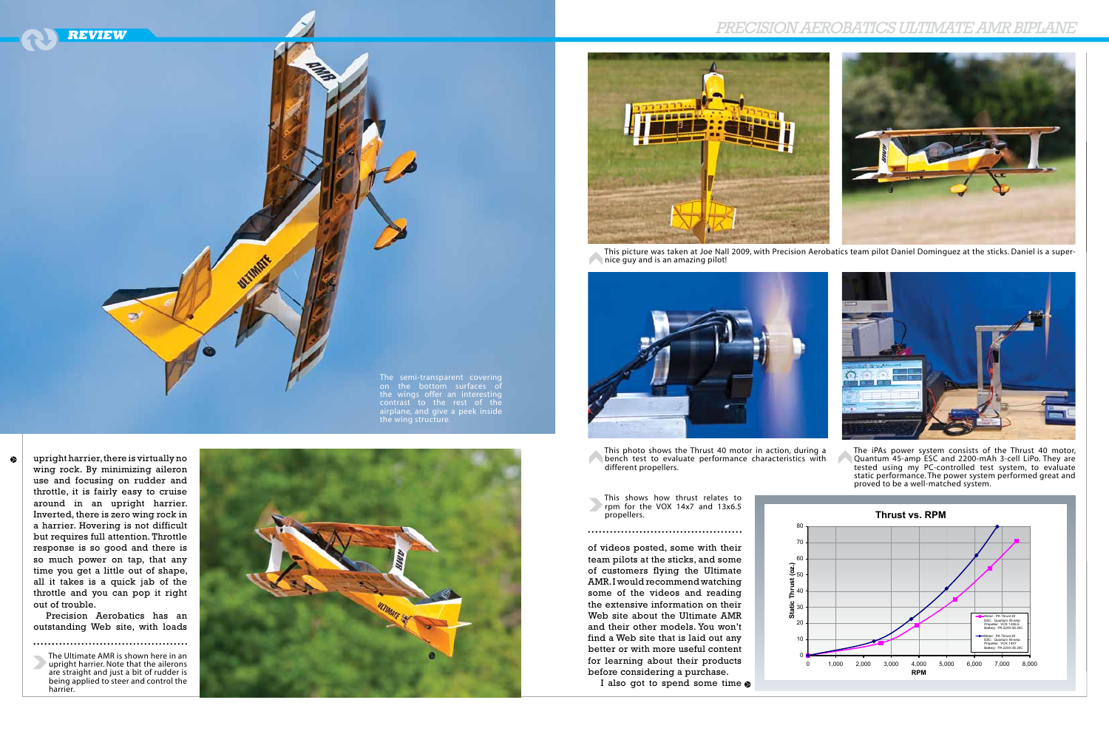



contrast to the rest of the airplane, and give a peek inside the wing structure.

upright harrier, there is virtually no wing rock. By minimizing aileron use and focusing on rudder and throttle, it is fairly easy to cruise around in an upright harrier. Inverted, there is zero wing rock in a harrier. Hovering is not difficult but requires full attention. Throttle response is so good and there is so much power on tap, that any time you get a little out of shape, all it takes is a quick jab of the throttle and you can pop it right out of trouble.

 $\bullet$ 

Precision Aerobatics has an outstanding Web site, with loads

The Ultimate AMR is shown here in an upright harrier. Note that the ailerons are straight and just a bit of rudder is being applied to steer and control the harrier.





This picture was taken at Joe Nall 2009, with Precision Aerobatics team pilot Daniel Dominguez at the sticks. Daniel is a super-



nice guy and is an amazing pilot!



This photo shows the Thrust 40 motor in action, during a bench test to evaluate performance characteristics with different propellers.

This shows how thrust relates to rpm for the VOX 14x7 and 13x6.5 propellers.

The iPAs power system consists of the Thrust 40 motor, Quantum 45-amp ESC and 2200-mAh 3-cell LiPo. They are tested using my PC-controlled test system, to evaluate static performance. The power system performed great and proved to be a well-matched system.



I also got to spend some time  $\odot$ 

of videos posted, some with their team pilots at the sticks, and some of customers flying the Ultimate

AMR. I would recommend watching some of the videos and reading the extensive information on their Web site about the Ultimate AMR and their other models. You won't find a Web site that is laid out any better or with more useful content for learning about their products before considering a purchase.

## Precision Aerobatics Ultimate AMRBiplane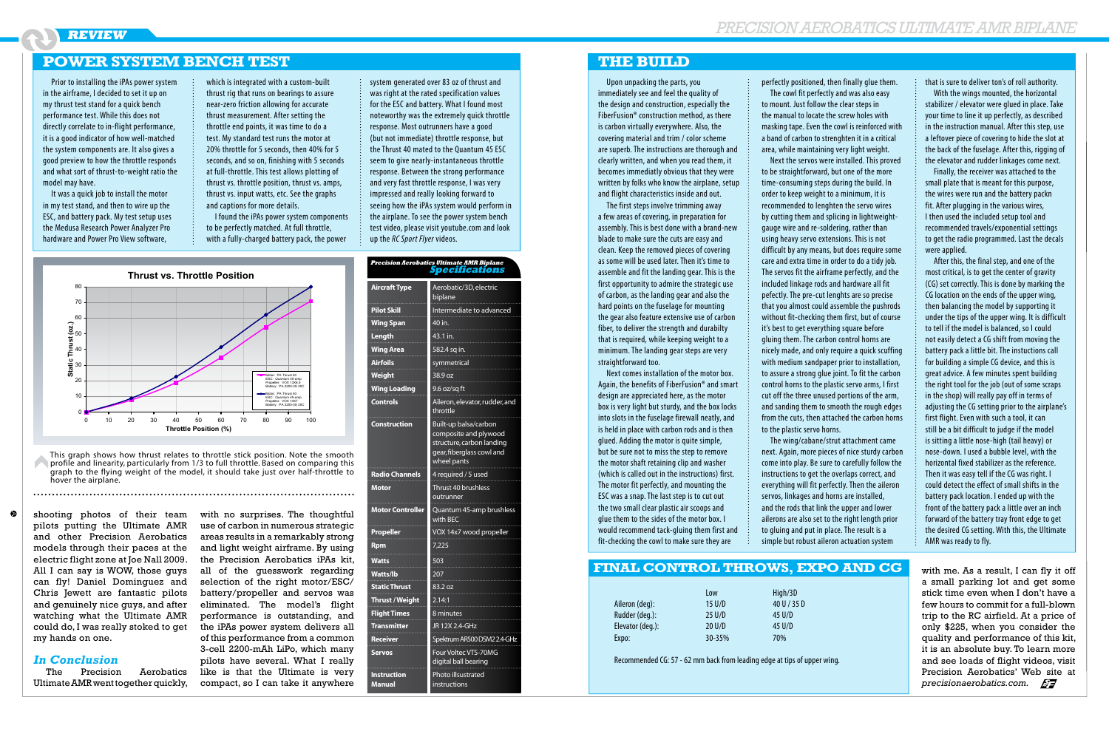Upon unpacking the parts, you immediately see and feel the quality of the design and construction, especially the FiberFusion® construction method, as there is carbon virtually everywhere. Also, the covering material and trim / color scheme are superb. The instructions are thorough and clearly written, and when you read them, it becomes immediatly obvious that they were written by folks who know the airplane, setup and flight characteristics inside and out.

The first steps involve trimming away a few areas of covering, in preparation for assembly. This is best done with a brand-new blade to make sure the cuts are easy and clean. Keep the removed pieces of covering as some will be used later. Then it's time to assemble and fit the landing gear. This is the first opportunity to admire the strategic use of carbon, as the landing gear and also the hard points on the fuselage for mounting the gear also feature extensive use of carbon fiber, to deliver the strength and durabilty that is required, while keeping weight to a minimum. The landing gear steps are very straightforward too.

Next comes installation of the motor box. Again, the benefits of FiberFusion® and smart design are appreciated here, as the motor box is very light but sturdy, and the box locks into slots in the fuselage firewall neatly, and is held in place with carbon rods and is then glued. Adding the motor is quite simple, but be sure not to miss the step to remove the motor shaft retaining clip and washer (which is called out in the instructions) first. The motor fit perfectly, and mounting the ESC was a snap. The last step is to cut out the two small clear plastic air scoops and glue them to the sides of the motor box. I would recommend tack-gluing them first and fit-checking the cowl to make sure they are

perfectly positioned, then finally glue them. The cowl fit perfectly and was also easy to mount. Just follow the clear steps in the manual to locate the screw holes with masking tape. Even the cowl is reinforced with a band of carbon to strenghten it in a critical area, while maintaining very light weight. Next the servos were installed. This proved to be straightforward, but one of the more time-consuming steps during the build. In order to keep weight to a minimum, it is recommended to lenghten the servo wires by cutting them and splicing in lightweightgauge wire and re-soldering, rather than using heavy servo extensions. This is not difficult by any means, but does require some care and extra time in order to do a tidy job. The servos fit the airframe perfectly, and the included linkage rods and hardware all fit pefectly. The pre-cut lenghts are so precise that you almost could assemble the pushrods without fit-checking them first, but of course it's best to get everything square before gluing them. The carbon control horns are nicely made, and only require a quick scuffing with medium sandpaper prior to installation, to assure a strong glue joint. To fit the carbon control horns to the plastic servo arms, I first cut off the three unused portions of the arm, and sanding them to smooth the rough edges from the cuts, then attached the carbon horns to the plastic servo horns.

The wing/cabane/strut attachment came next. Again, more pieces of nice sturdy carbon come into play. Be sure to carefully follow the instructions to get the overlaps correct, and everything will fit perfectly. Then the aileron servos, linkages and horns are installed, and the rods that link the upper and lower ailerons are also set to the right length prior to gluing and put in place. The result is a simple but robust aileron actuation system

that is sure to deliver ton's of roll authority.

With the wings mounted, the horizontal stabilizer / elevator were glued in place. Take your time to line it up perfectly, as described in the instruction manual. After this step, use a leftover piece of covering to hide the slot at the back of the fuselage. After this, rigging of the elevator and rudder linkages come next.

Finally, the receiver was attached to the small plate that is meant for this purpose, the wires were run and the battery packn fit. After plugging in the various wires, I then used the included setup tool and recommended travels/exponential settings to get the radio programmed. Last the decals were applied.

This graph shows how thrust relates to throttle stick position. Note the smooth profile and linearity, particularly from 1/3 to full throttle. Based on comparing this graph to the flying weight of the model, it should take just over half-throttle to hover the airplane.

 $\bullet$ 

After this, the final step, and one of the most critical, is to get the center of gravity (CG) set correctly. This is done by marking the CG location on the ends of the upper wing, then balancing the model by supporting it under the tips of the upper wing. It is difficult to tell if the model is balanced, so I could not easily detect a CG shift from moving the battery pack a little bit. The instuctions call for building a simple CG device, and this is great advice. A few minutes spent building the right tool for the job (out of some scraps in the shop) will really pay off in terms of adjusting the CG setting prior to the airplane's first flight. Even with such a tool, it can still be a bit difficult to judge if the model is sitting a little nose-high (tail heavy) or nose-down. I used a bubble level, with the horizontal fixed stabilizer as the reference. Then it was easy tell if the CG was right. I could detect the effect of small shifts in the battery pack location. I ended up with the front of the battery pack a little over an inch forward of the battery tray front edge to get the desired CG setting. With this, the Ultimate AMR was ready to fly.

### **The Build**

Prior to installing the iPAs power system in the airframe, I decided to set it up on my thrust test stand for a quick bench performance test. While this does not directly correlate to in-flight performance, it is a good indicator of how well-matched the system components are. It also gives a good preview to how the throttle responds and what sort of thrust-to-weight ratio the model may have.

It was a quick job to install the motor in my test stand, and then to wire up the ESC, and battery pack. My test setup uses the Medusa Research Power Analyzer Pro hardware and Power Pro View software,

which is integrated with a custom-built thrust rig that runs on bearings to assure near-zero friction allowing for accurate thrust measurement. After setting the throttle end points, it was time to do a test. My standard test runs the motor at 20% throttle for 5 seconds, then 40% for 5 seconds, and so on, finishing with 5 seconds at full-throttle. This test allows plotting of thrust vs. throttle position, thrust vs. amps, thrust vs. input watts, etc. See the graphs and captions for more details.

I found the iPAs power system components to be perfectly matched. At full throttle, with a fully-charged battery pack, the power

### system generated over 83 oz of thrust and was right at the rated specification values for the ESC and battery. What I found most noteworthy was the extremely quick throttle response. Most outrunners have a good (but not immediate) throttle response, but the Thrust 40 mated to the Quantum 45 ESC seem to give nearly-instantaneous throttle response. Between the strong performance and very fast throttle response, I was very impressed and really looking forward to seeing how the iPAs system would perform in the airplane. To see the power system bench test video, please visit youtube.com and look up the *RC Sport Flyer* videos.

**Precision Aeroba** 

| s Ultimate AMR Biplane<br>becifications                                                                                 |  |
|-------------------------------------------------------------------------------------------------------------------------|--|
| Aerobatic/3D, electric<br>biplane                                                                                       |  |
| Intermediate to advanced<br>40 in.                                                                                      |  |
| 43.1 in.                                                                                                                |  |
| 582.4 sq in.                                                                                                            |  |
| symmetrical                                                                                                             |  |
| 38.9 oz                                                                                                                 |  |
| 9.6 oz/sq ft                                                                                                            |  |
| Aileron, elevator, rudder, and<br>throttle                                                                              |  |
| Built-up balsa/carbon<br>composite and plywood<br>structure, carbon landing<br>gear, fiberglass cowl and<br>wheel pants |  |
| 4 required / 5 used                                                                                                     |  |
| Thrust 40 brushless<br>outrunner                                                                                        |  |
| Quantum 45-amp brushless<br>with BEC                                                                                    |  |
| VOX 14x7 wood propeller                                                                                                 |  |
| 7,225                                                                                                                   |  |
| 503                                                                                                                     |  |
| 207                                                                                                                     |  |
| 83.2 oz                                                                                                                 |  |
| 2.14:1                                                                                                                  |  |
|                                                                                                                         |  |

### **Power System Bench Test**

|                  | Low              | High/3D     |
|------------------|------------------|-------------|
| Aileron (deg):   | $15$ U/D         | 40 U / 35 D |
| Rudder (deg.):   | 25 U/D           | 45 U/D      |
| Elevator (deg.): | $20 \text{ U/D}$ | 45 U/D      |
| Expo:            | 30-35%           | 70%         |

Recommended CG: 57 - 62 mm back from leading edge at tips of upper wing.

### **Final Control Throws, Expo and CG**

| <b>Aircraft Type</b>                | Aerobatic/3D, electric<br>biplane                                                                                       |
|-------------------------------------|-------------------------------------------------------------------------------------------------------------------------|
| <b>Pilot Skill</b>                  | Intermediate to advanced                                                                                                |
| <b>Wing Span</b>                    | 40 in.                                                                                                                  |
| Length                              | 43.1 in.                                                                                                                |
| <b>Wing Area</b>                    | 582.4 sq in.                                                                                                            |
| <b>Airfoils</b>                     | symmetrical                                                                                                             |
| Weight                              | 38.9 oz                                                                                                                 |
| <b>Wing Loading</b>                 | 9.6 oz/sq ft                                                                                                            |
| <b>Controls</b>                     | Aileron, elevator, rudder, and<br>throttle                                                                              |
| Construction                        | Built-up balsa/carbon<br>composite and plywood<br>structure, carbon landing<br>gear, fiberglass cowl and<br>wheel pants |
| <b>Radio Channels</b>               | 4 required / 5 used                                                                                                     |
| Motor                               | Thrust 40 brushless                                                                                                     |
|                                     | outrunner                                                                                                               |
| <b>Motor Controller</b>             | Quantum 45-amp brushless<br>with <b>BEC</b>                                                                             |
| Propeller                           | VOX 14x7 wood propeller                                                                                                 |
| Rpm                                 | 7,225                                                                                                                   |
| Watts                               | 503                                                                                                                     |
| <b>Watts/lb</b>                     | 207                                                                                                                     |
| <b>Static Thrust</b>                | 83.2 oz                                                                                                                 |
| <b>Thrust / Weight</b>              | 2.14:1                                                                                                                  |
| <b>Flight Times</b>                 | 8 minutes                                                                                                               |
| <b>Transmitter</b>                  | JR 12X 2.4-GHz                                                                                                          |
| <b>Receiver</b>                     | Spektrum AR500 DSM2 2.4-GHz                                                                                             |
| <b>Servos</b>                       | Four Voltec VTS-70MG<br>digital ball bearing                                                                            |
| <b>Instruction</b><br><b>Manual</b> | Photo illsustrated<br>instructions                                                                                      |



shooting photos of their team pilots putting the Ultimate AMR and other Precision Aerobatics models through their paces at the electric flight zone at Joe Nall 2009. All I can say is WOW, those guys can fly! Daniel Dominguez and Chris Jewett are fantastic pilots and genuinely nice guys, and after watching what the Ultimate AMR could do, I was really stoked to get my hands on one.

### *In Conclusion*

The Precision Aerobatics Ultimate AMR went together quickly, with no surprises. The thoughtful use of carbon in numerous strategic areas results in a remarkably strong and light weight airframe. By using the Precision Aerobatics iPAs kit, all of the guesswork regarding selection of the right motor/ESC/ battery/propeller and servos was eliminated. The model's flight performance is outstanding, and the iPAs power system delivers all of this performance from a common 3-cell 2200-mAh LiPo, which many pilots have several. What I really like is that the Ultimate is very compact, so I can take it anywhere

with me. As a result, I can fly it off a small parking lot and get some stick time even when I don't have a few hours to commit for a full-blown trip to the RC airfield. At a price of only \$225, when you consider the quality and performance of this kit, it is an absolute buy. To learn more and see loads of flight videos, visit Precision Aerobatics' Web site at *precisionaerobatics.com.*